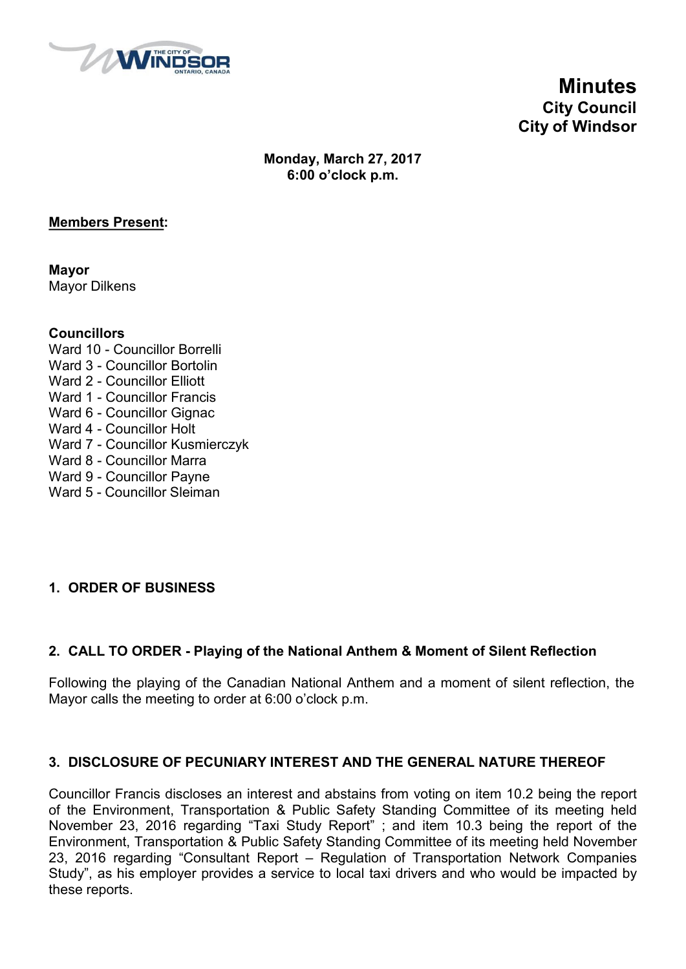

**Minutes City Council City of Windsor**

**Monday, March 27, 2017 6:00 o'clock p.m.**

#### **Members Present:**

**Mayor** Mayor Dilkens

#### **Councillors**

- Ward 10 Councillor Borrelli Ward 3 - Councillor Bortolin Ward 2 - Councillor Elliott Ward 1 - Councillor Francis Ward 6 - Councillor Gignac Ward 4 - Councillor Holt Ward 7 - Councillor Kusmierczyk Ward 8 - Councillor Marra Ward 9 - Councillor Payne
- Ward 5 Councillor Sleiman

### **1. ORDER OF BUSINESS**

### **2. CALL TO ORDER - Playing of the National Anthem & Moment of Silent Reflection**

Following the playing of the Canadian National Anthem and a moment of silent reflection, the Mayor calls the meeting to order at 6:00 o'clock p.m.

#### **3. DISCLOSURE OF PECUNIARY INTEREST AND THE GENERAL NATURE THEREOF**

Councillor Francis discloses an interest and abstains from voting on item 10.2 being the report of the Environment, Transportation & Public Safety Standing Committee of its meeting held November 23, 2016 regarding "Taxi Study Report" ; and item 10.3 being the report of the Environment, Transportation & Public Safety Standing Committee of its meeting held November 23, 2016 regarding "Consultant Report – Regulation of Transportation Network Companies Study", as his employer provides a service to local taxi drivers and who would be impacted by these reports.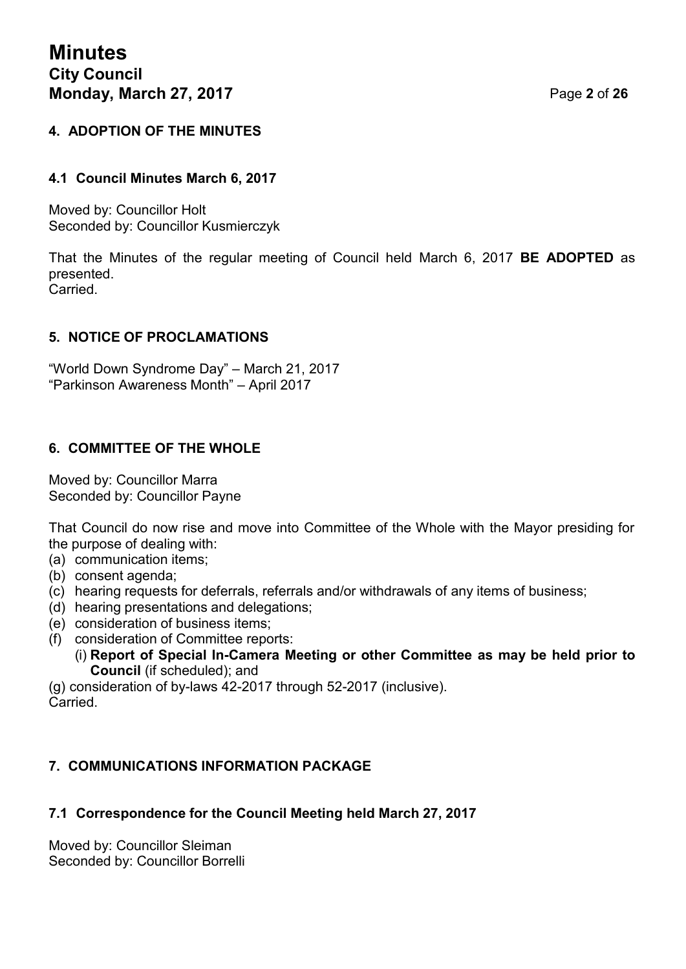### **4. ADOPTION OF THE MINUTES**

#### **4.1 Council Minutes March 6, 2017**

Moved by: Councillor Holt Seconded by: Councillor Kusmierczyk

That the Minutes of the regular meeting of Council held March 6, 2017 **BE ADOPTED** as presented. Carried.

#### **5. NOTICE OF PROCLAMATIONS**

"World Down Syndrome Day" – March 21, 2017 "Parkinson Awareness Month" – April 2017

#### **6. COMMITTEE OF THE WHOLE**

Moved by: Councillor Marra Seconded by: Councillor Payne

That Council do now rise and move into Committee of the Whole with the Mayor presiding for the purpose of dealing with:

(a) communication items;

- (b) consent agenda;
- (c) hearing requests for deferrals, referrals and/or withdrawals of any items of business;
- (d) hearing presentations and delegations;
- (e) consideration of business items;
- (f) consideration of Committee reports:
	- (i) **Report of Special In-Camera Meeting or other Committee as may be held prior to Council** (if scheduled); and

(g) consideration of by-laws 42-2017 through 52-2017 (inclusive). **Carried** 

#### **7. COMMUNICATIONS INFORMATION PACKAGE**

#### **7.1 Correspondence for the Council Meeting held March 27, 2017**

Moved by: Councillor Sleiman Seconded by: Councillor Borrelli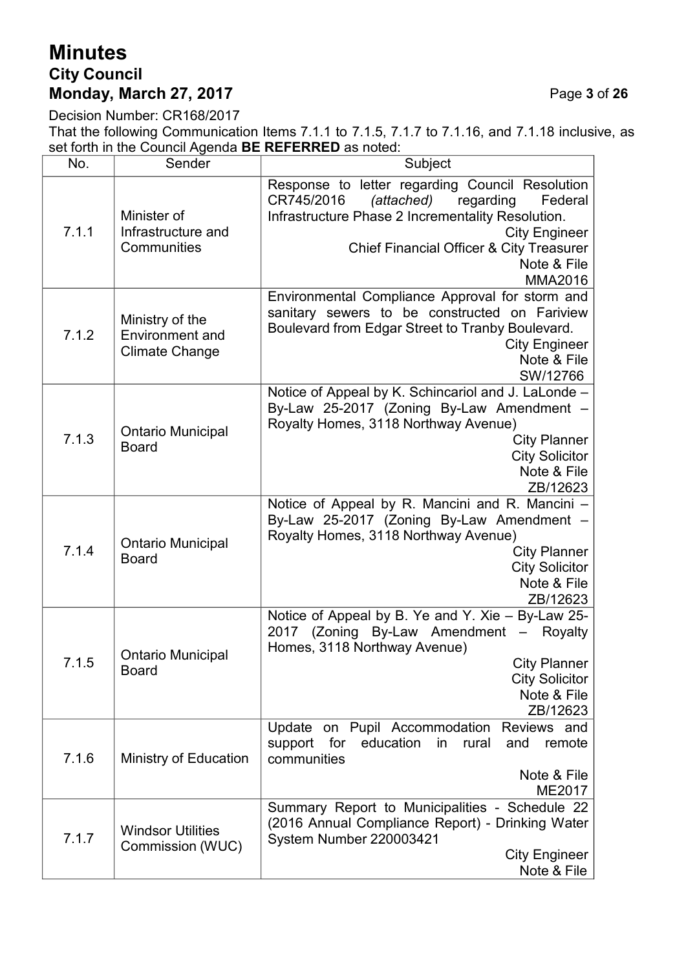# **Minutes City Council Monday, March 27, 2017** Page **3** of **26**

Decision Number: CR168/2017

That the following Communication Items 7.1.1 to 7.1.5, 7.1.7 to 7.1.16, and 7.1.18 inclusive, as set forth in the Council Agenda **BE REFERRED** as noted:

| No.   | Sender                                                             | Subject                                                                                                                                                                                                                                                                  |
|-------|--------------------------------------------------------------------|--------------------------------------------------------------------------------------------------------------------------------------------------------------------------------------------------------------------------------------------------------------------------|
| 7.1.1 | Minister of<br>Infrastructure and<br>Communities                   | Response to letter regarding Council Resolution<br>CR745/2016<br>(attached)<br>regarding<br>Federal<br>Infrastructure Phase 2 Incrementality Resolution.<br><b>City Engineer</b><br><b>Chief Financial Officer &amp; City Treasurer</b><br>Note & File<br><b>MMA2016</b> |
| 7.1.2 | Ministry of the<br><b>Environment</b> and<br><b>Climate Change</b> | Environmental Compliance Approval for storm and<br>sanitary sewers to be constructed on Fariview<br>Boulevard from Edgar Street to Tranby Boulevard.<br><b>City Engineer</b><br>Note & File<br>SW/12766                                                                  |
| 7.1.3 | <b>Ontario Municipal</b><br><b>Board</b>                           | Notice of Appeal by K. Schincariol and J. LaLonde -<br>By-Law 25-2017 (Zoning By-Law Amendment -<br>Royalty Homes, 3118 Northway Avenue)<br><b>City Planner</b><br><b>City Solicitor</b><br>Note & File<br>ZB/12623                                                      |
| 7.1.4 | <b>Ontario Municipal</b><br><b>Board</b>                           | Notice of Appeal by R. Mancini and R. Mancini -<br>By-Law 25-2017 (Zoning By-Law Amendment -<br>Royalty Homes, 3118 Northway Avenue)<br><b>City Planner</b><br><b>City Solicitor</b><br>Note & File<br>ZB/12623                                                          |
| 7.1.5 | <b>Ontario Municipal</b><br><b>Board</b>                           | Notice of Appeal by B. Ye and Y. Xie - By-Law 25-<br>2017 (Zoning By-Law Amendment -<br>Royalty<br>Homes, 3118 Northway Avenue)<br><b>City Planner</b><br><b>City Solicitor</b><br>Note & File<br>ZB/12623                                                               |
| 7.1.6 | Ministry of Education                                              | Update on Pupil Accommodation<br>Reviews and<br>support<br>for<br>education<br>in<br>rural<br>remote<br>and<br>communities<br>Note & File<br>ME2017                                                                                                                      |
| 7.1.7 | <b>Windsor Utilities</b><br>Commission (WUC)                       | Summary Report to Municipalities - Schedule 22<br>(2016 Annual Compliance Report) - Drinking Water<br>System Number 220003421<br><b>City Engineer</b><br>Note & File                                                                                                     |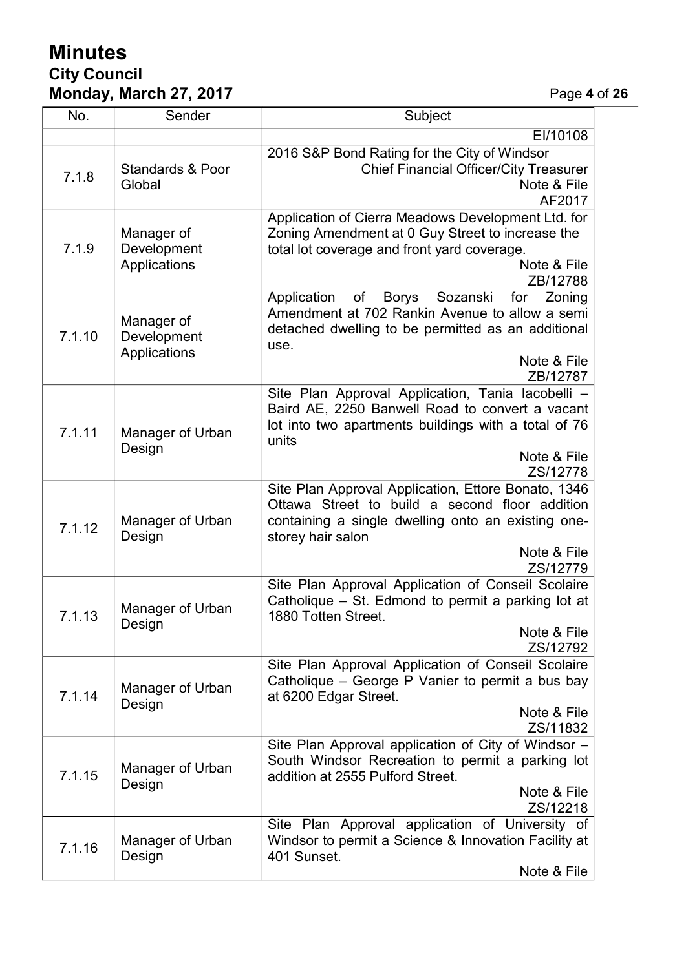# **Minutes City Council Monday, March 27, 2017** Page **4** of **26**

| No.    | Sender                                    | Subject                                                                                                |
|--------|-------------------------------------------|--------------------------------------------------------------------------------------------------------|
|        |                                           | EI/10108                                                                                               |
| 7.1.8  |                                           | 2016 S&P Bond Rating for the City of Windsor                                                           |
|        | <b>Standards &amp; Poor</b>               | <b>Chief Financial Officer/City Treasurer</b>                                                          |
|        | Global                                    | Note & File                                                                                            |
|        |                                           | AF2017                                                                                                 |
|        | Manager of<br>Development<br>Applications | Application of Cierra Meadows Development Ltd. for                                                     |
|        |                                           | Zoning Amendment at 0 Guy Street to increase the                                                       |
| 7.1.9  |                                           | total lot coverage and front yard coverage.                                                            |
|        |                                           | Note & File<br>ZB/12788                                                                                |
|        |                                           | of<br>Sozanski<br>Application<br><b>Borys</b><br>for<br>Zoning                                         |
|        |                                           | Amendment at 702 Rankin Avenue to allow a semi                                                         |
|        | Manager of                                | detached dwelling to be permitted as an additional                                                     |
| 7.1.10 | Development<br>Applications               | use.                                                                                                   |
|        |                                           | Note & File                                                                                            |
|        |                                           | ZB/12787                                                                                               |
|        |                                           | Site Plan Approval Application, Tania lacobelli -                                                      |
|        |                                           | Baird AE, 2250 Banwell Road to convert a vacant                                                        |
| 7.1.11 | Manager of Urban                          | lot into two apartments buildings with a total of 76                                                   |
|        | Design                                    | units                                                                                                  |
|        |                                           | Note & File                                                                                            |
|        |                                           | ZS/12778<br>Site Plan Approval Application, Ettore Bonato, 1346                                        |
|        | Manager of Urban<br>Design                | Ottawa Street to build a second floor addition                                                         |
|        |                                           | containing a single dwelling onto an existing one-                                                     |
| 7.1.12 |                                           | storey hair salon                                                                                      |
|        |                                           | Note & File                                                                                            |
|        |                                           | ZS/12779                                                                                               |
|        | Manager of Urban<br>Design                | Site Plan Approval Application of Conseil Scolaire                                                     |
|        |                                           | Catholique – St. Edmond to permit a parking lot at                                                     |
| 7.1.13 |                                           | 1880 Totten Street.                                                                                    |
|        |                                           | Note & File                                                                                            |
|        |                                           | ZS/12792                                                                                               |
|        | Manager of Urban<br>Design                | Site Plan Approval Application of Conseil Scolaire<br>Catholique – George P Vanier to permit a bus bay |
| 7.1.14 |                                           | at 6200 Edgar Street.                                                                                  |
|        |                                           | Note & File                                                                                            |
|        |                                           | ZS/11832                                                                                               |
|        | Manager of Urban<br>Design                | Site Plan Approval application of City of Windsor -                                                    |
| 7.1.15 |                                           | South Windsor Recreation to permit a parking lot                                                       |
|        |                                           | addition at 2555 Pulford Street.                                                                       |
|        |                                           | Note & File                                                                                            |
|        |                                           | ZS/12218                                                                                               |
| 7.1.16 | Manager of Urban<br>Design                | Site Plan Approval application of University of                                                        |
|        |                                           | Windsor to permit a Science & Innovation Facility at                                                   |
|        |                                           | 401 Sunset.                                                                                            |
|        |                                           | Note & File                                                                                            |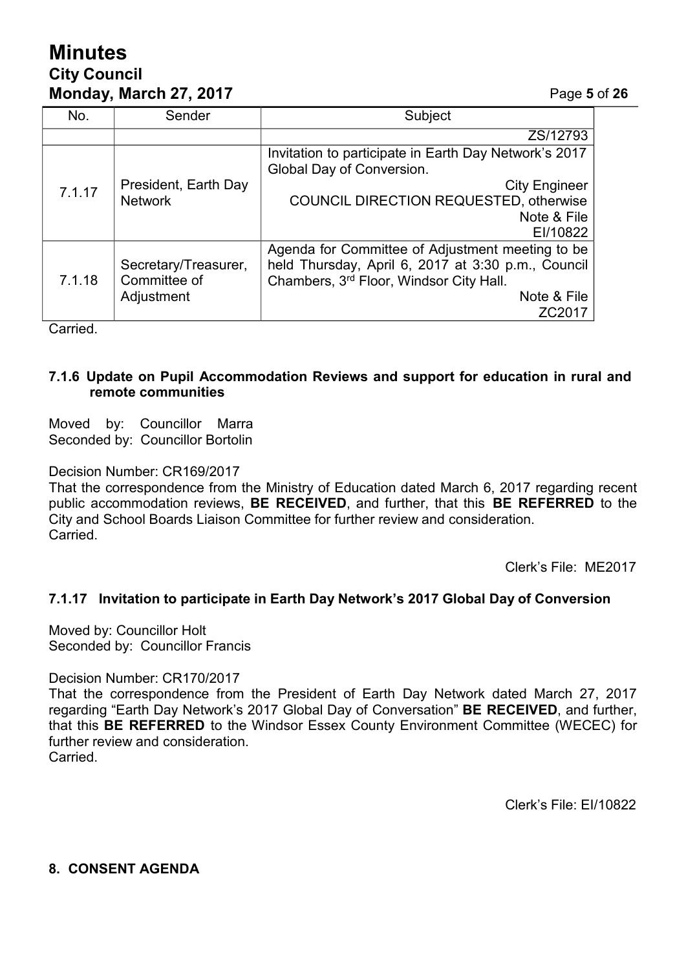# **Minutes City Council Monday, March 27, 2017** Page **5** of **26**

| No.    | Sender                                             | Subject                                                                                                                                                                               |
|--------|----------------------------------------------------|---------------------------------------------------------------------------------------------------------------------------------------------------------------------------------------|
|        |                                                    | ZS/12793                                                                                                                                                                              |
| 7.1.17 | President, Earth Day<br><b>Network</b>             | Invitation to participate in Earth Day Network's 2017<br>Global Day of Conversion.                                                                                                    |
|        |                                                    | <b>City Engineer</b><br><b>COUNCIL DIRECTION REQUESTED, otherwise</b><br>Note & File<br>EI/10822                                                                                      |
| 7.1.18 | Secretary/Treasurer,<br>Committee of<br>Adjustment | Agenda for Committee of Adjustment meeting to be<br>held Thursday, April 6, 2017 at 3:30 p.m., Council<br>Chambers, 3rd Floor, Windsor City Hall.<br>Note & File<br>ZC <sub>201</sub> |

**Carried** 

#### **7.1.6 Update on Pupil Accommodation Reviews and support for education in rural and remote communities**

Moved by: Councillor Marra Seconded by: Councillor Bortolin

Decision Number: CR169/2017

That the correspondence from the Ministry of Education dated March 6, 2017 regarding recent public accommodation reviews, **BE RECEIVED**, and further, that this **BE REFERRED** to the City and School Boards Liaison Committee for further review and consideration. **Carried** 

Clerk's File: ME2017

#### **7.1.17 Invitation to participate in Earth Day Network's 2017 Global Day of Conversion**

Moved by: Councillor Holt Seconded by: Councillor Francis

#### Decision Number: CR170/2017

That the correspondence from the President of Earth Day Network dated March 27, 2017 regarding "Earth Day Network's 2017 Global Day of Conversation" **BE RECEIVED**, and further, that this **BE REFERRED** to the Windsor Essex County Environment Committee (WECEC) for further review and consideration. **Carried** 

Clerk's File: EI/10822

#### **8. CONSENT AGENDA**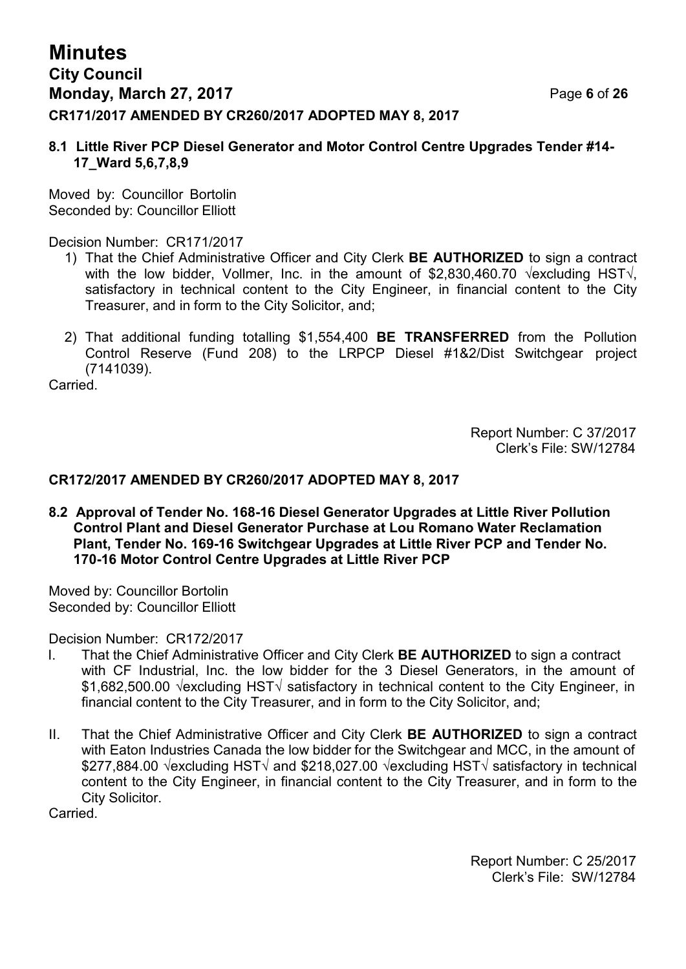# **Minutes City Council Monday, March 27, 2017** Page **6** of **26 CR171/2017 AMENDED BY CR260/2017 ADOPTED MAY 8, 2017**

#### **8.1 Little River PCP Diesel Generator and Motor Control Centre Upgrades Tender #14- 17\_Ward 5,6,7,8,9**

Moved by: Councillor Bortolin Seconded by: Councillor Elliott

Decision Number: CR171/2017

- 1) That the Chief Administrative Officer and City Clerk **BE AUTHORIZED** to sign a contract with the low bidder, Vollmer, Inc. in the amount of \$2,830,460.70  $\sqrt{\text{excluding HST}}$ , satisfactory in technical content to the City Engineer, in financial content to the City Treasurer, and in form to the City Solicitor, and;
- 2) That additional funding totalling \$1,554,400 **BE TRANSFERRED** from the Pollution Control Reserve (Fund 208) to the LRPCP Diesel #1&2/Dist Switchgear project (7141039).

**Carried** 

Report Number: C 37/2017 Clerk's File: SW/12784

#### **CR172/2017 AMENDED BY CR260/2017 ADOPTED MAY 8, 2017**

**8.2 Approval of Tender No. 168-16 Diesel Generator Upgrades at Little River Pollution Control Plant and Diesel Generator Purchase at Lou Romano Water Reclamation Plant, Tender No. 169-16 Switchgear Upgrades at Little River PCP and Tender No. 170-16 Motor Control Centre Upgrades at Little River PCP**

Moved by: Councillor Bortolin Seconded by: Councillor Elliott

Decision Number: CR172/2017

- I. That the Chief Administrative Officer and City Clerk **BE AUTHORIZED** to sign a contract with CF Industrial, Inc. the low bidder for the 3 Diesel Generators, in the amount of \$1,682,500.00 √excluding HST√ satisfactory in technical content to the City Engineer, in financial content to the City Treasurer, and in form to the City Solicitor, and;
- II. That the Chief Administrative Officer and City Clerk **BE AUTHORIZED** to sign a contract with Eaton Industries Canada the low bidder for the Switchgear and MCC, in the amount of \$277,884.00 √excluding HST√ and \$218,027.00 √excluding HST√ satisfactory in technical content to the City Engineer, in financial content to the City Treasurer, and in form to the City Solicitor.

**Carried** 

Report Number: C 25/2017 Clerk's File: SW/12784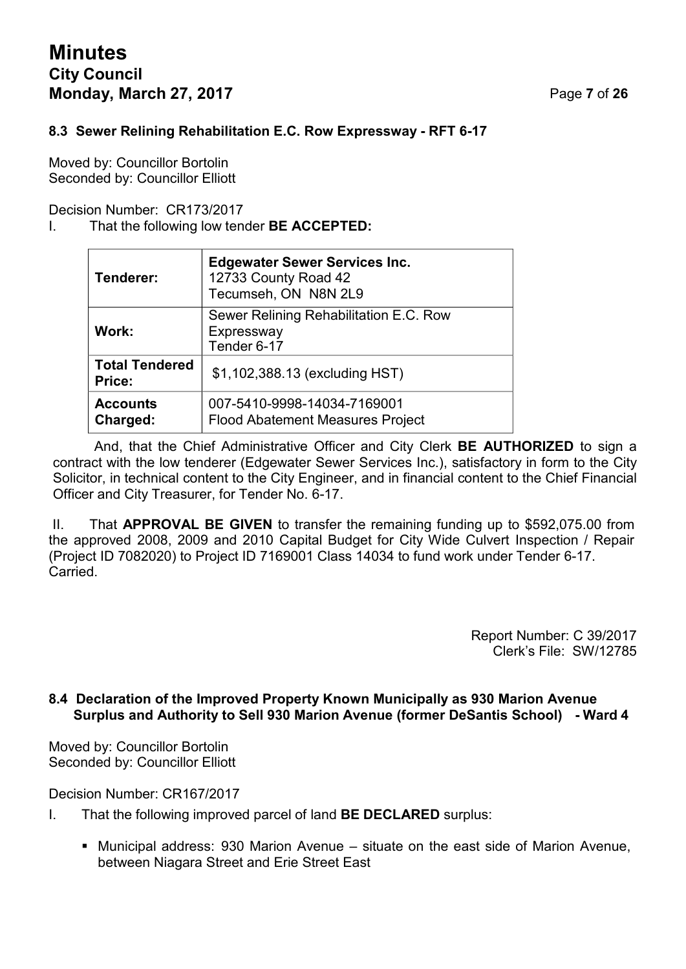# **Minutes City Council Monday, March 27, 2017** Page **7** of **26**

### **8.3 Sewer Relining Rehabilitation E.C. Row Expressway - RFT 6-17**

Moved by: Councillor Bortolin Seconded by: Councillor Elliott

Decision Number: CR173/2017

#### I. That the following low tender **BE ACCEPTED:**

| Tenderer:                       | <b>Edgewater Sewer Services Inc.</b><br>12733 County Road 42<br>Tecumseh, ON N8N 2L9 |
|---------------------------------|--------------------------------------------------------------------------------------|
| Work:                           | Sewer Relining Rehabilitation E.C. Row<br>Expressway<br>Tender 6-17                  |
| <b>Total Tendered</b><br>Price: | \$1,102,388.13 (excluding HST)                                                       |
| <b>Accounts</b><br>Charged:     | 007-5410-9998-14034-7169001<br><b>Flood Abatement Measures Project</b>               |

And, that the Chief Administrative Officer and City Clerk **BE AUTHORIZED** to sign a contract with the low tenderer (Edgewater Sewer Services Inc.), satisfactory in form to the City Solicitor, in technical content to the City Engineer, and in financial content to the Chief Financial Officer and City Treasurer, for Tender No. 6-17.

II. That **APPROVAL BE GIVEN** to transfer the remaining funding up to \$592,075.00 from the approved 2008, 2009 and 2010 Capital Budget for City Wide Culvert Inspection / Repair (Project ID 7082020) to Project ID 7169001 Class 14034 to fund work under Tender 6-17. **Carried** 

> Report Number: C 39/2017 Clerk's File: SW/12785

#### **8.4 Declaration of the Improved Property Known Municipally as 930 Marion Avenue Surplus and Authority to Sell 930 Marion Avenue (former DeSantis School) - Ward 4**

Moved by: Councillor Bortolin Seconded by: Councillor Elliott

Decision Number: CR167/2017

- I. That the following improved parcel of land **BE DECLARED** surplus:
	- Municipal address: 930 Marion Avenue situate on the east side of Marion Avenue, between Niagara Street and Erie Street East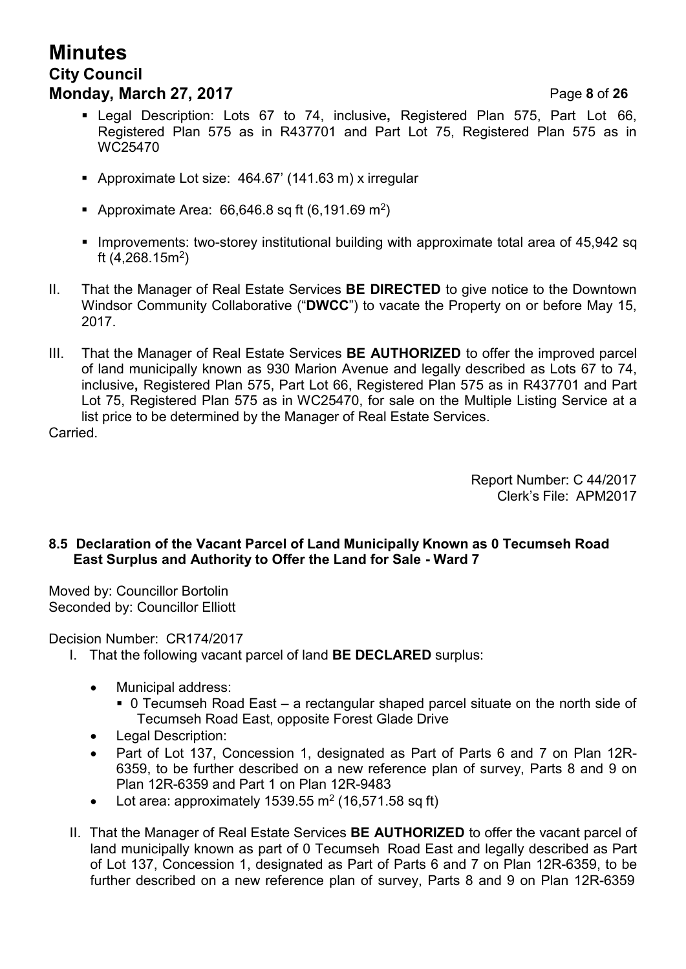# **Minutes City Council Monday, March 27, 2017** Page **8** of **26**

- Legal Description: Lots 67 to 74, inclusive**,** Registered Plan 575, Part Lot 66, Registered Plan 575 as in R437701 and Part Lot 75, Registered Plan 575 as in WC25470
- Approximate Lot size: 464.67' (141.63 m) x irregular
- Approximate Area: 66,646.8 sq ft (6,191.69 m<sup>2</sup>)
- Improvements: two-storey institutional building with approximate total area of 45,942 sq ft (4,268.15m<sup>2</sup> )
- II. That the Manager of Real Estate Services **BE DIRECTED** to give notice to the Downtown Windsor Community Collaborative ("**DWCC**") to vacate the Property on or before May 15, 2017.
- III. That the Manager of Real Estate Services **BE AUTHORIZED** to offer the improved parcel of land municipally known as 930 Marion Avenue and legally described as Lots 67 to 74, inclusive**,** Registered Plan 575, Part Lot 66, Registered Plan 575 as in R437701 and Part Lot 75, Registered Plan 575 as in WC25470, for sale on the Multiple Listing Service at a list price to be determined by the Manager of Real Estate Services.

Carried.

Report Number: C 44/2017 Clerk's File: APM2017

### **8.5 Declaration of the Vacant Parcel of Land Municipally Known as 0 Tecumseh Road East Surplus and Authority to Offer the Land for Sale - Ward 7**

Moved by: Councillor Bortolin Seconded by: Councillor Elliott

Decision Number: CR174/2017

- I. That the following vacant parcel of land **BE DECLARED** surplus:
	- Municipal address:
		- 0 Tecumseh Road East a rectangular shaped parcel situate on the north side of Tecumseh Road East, opposite Forest Glade Drive
	- Legal Description:
	- Part of Lot 137, Concession 1, designated as Part of Parts 6 and 7 on Plan 12R-6359, to be further described on a new reference plan of survey, Parts 8 and 9 on Plan 12R-6359 and Part 1 on Plan 12R-9483
	- Lot area: approximately 1539.55 m<sup>2</sup> (16,571.58 sq ft)
- II. That the Manager of Real Estate Services **BE AUTHORIZED** to offer the vacant parcel of land municipally known as part of 0 Tecumseh Road East and legally described as Part of Lot 137, Concession 1, designated as Part of Parts 6 and 7 on Plan 12R-6359, to be further described on a new reference plan of survey, Parts 8 and 9 on Plan 12R-6359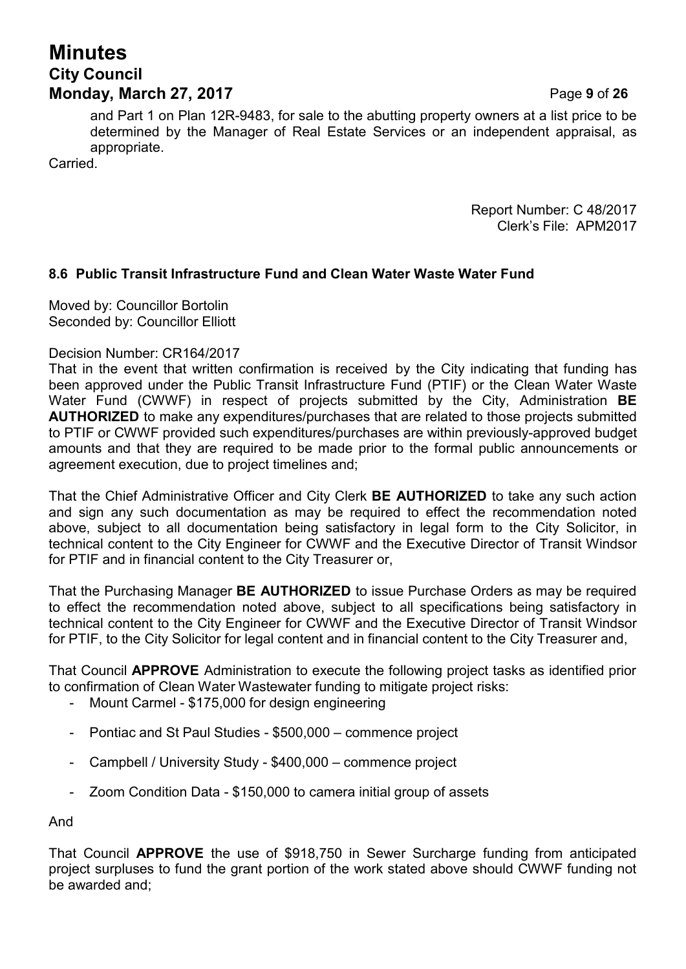# **Minutes City Council Monday, March 27, 2017** Page **9** of **26**

and Part 1 on Plan 12R-9483, for sale to the abutting property owners at a list price to be determined by the Manager of Real Estate Services or an independent appraisal, as appropriate.

**Carried** 

Report Number: C 48/2017 Clerk's File: APM2017

### **8.6 Public Transit Infrastructure Fund and Clean Water Waste Water Fund**

Moved by: Councillor Bortolin Seconded by: Councillor Elliott

#### Decision Number: CR164/2017

That in the event that written confirmation is received by the City indicating that funding has been approved under the Public Transit Infrastructure Fund (PTIF) or the Clean Water Waste Water Fund (CWWF) in respect of projects submitted by the City, Administration **BE AUTHORIZED** to make any expenditures/purchases that are related to those projects submitted to PTIF or CWWF provided such expenditures/purchases are within previously-approved budget amounts and that they are required to be made prior to the formal public announcements or agreement execution, due to project timelines and;

That the Chief Administrative Officer and City Clerk **BE AUTHORIZED** to take any such action and sign any such documentation as may be required to effect the recommendation noted above, subject to all documentation being satisfactory in legal form to the City Solicitor, in technical content to the City Engineer for CWWF and the Executive Director of Transit Windsor for PTIF and in financial content to the City Treasurer or,

That the Purchasing Manager **BE AUTHORIZED** to issue Purchase Orders as may be required to effect the recommendation noted above, subject to all specifications being satisfactory in technical content to the City Engineer for CWWF and the Executive Director of Transit Windsor for PTIF, to the City Solicitor for legal content and in financial content to the City Treasurer and,

That Council **APPROVE** Administration to execute the following project tasks as identified prior to confirmation of Clean Water Wastewater funding to mitigate project risks:

- Mount Carmel \$175,000 for design engineering
- Pontiac and St Paul Studies \$500,000 commence project
- Campbell / University Study \$400,000 commence project
- Zoom Condition Data \$150,000 to camera initial group of assets

And

That Council **APPROVE** the use of \$918,750 in Sewer Surcharge funding from anticipated project surpluses to fund the grant portion of the work stated above should CWWF funding not be awarded and;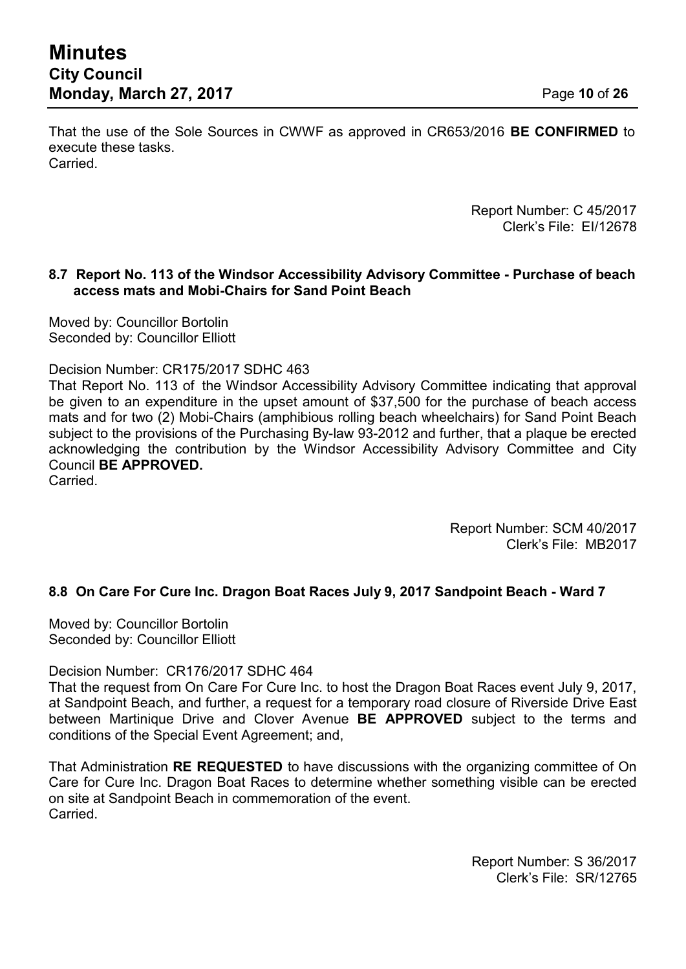That the use of the Sole Sources in CWWF as approved in CR653/2016 **BE CONFIRMED** to execute these tasks. **Carried** 

> Report Number: C 45/2017 Clerk's File: EI/12678

#### **8.7 Report No. 113 of the Windsor Accessibility Advisory Committee - Purchase of beach access mats and Mobi-Chairs for Sand Point Beach**

Moved by: Councillor Bortolin Seconded by: Councillor Elliott

Decision Number: CR175/2017 SDHC 463

That Report No. 113 of the Windsor Accessibility Advisory Committee indicating that approval be given to an expenditure in the upset amount of \$37,500 for the purchase of beach access mats and for two (2) Mobi-Chairs (amphibious rolling beach wheelchairs) for Sand Point Beach subject to the provisions of the Purchasing By-law 93-2012 and further, that a plaque be erected acknowledging the contribution by the Windsor Accessibility Advisory Committee and City Council **BE APPROVED.**

**Carried** 

Report Number: SCM 40/2017 Clerk's File: MB2017

#### **8.8 On Care For Cure Inc. Dragon Boat Races July 9, 2017 Sandpoint Beach - Ward 7**

Moved by: Councillor Bortolin Seconded by: Councillor Elliott

Decision Number: CR176/2017 SDHC 464

That the request from On Care For Cure Inc. to host the Dragon Boat Races event July 9, 2017, at Sandpoint Beach, and further, a request for a temporary road closure of Riverside Drive East between Martinique Drive and Clover Avenue **BE APPROVED** subject to the terms and conditions of the Special Event Agreement; and,

That Administration **RE REQUESTED** to have discussions with the organizing committee of On Care for Cure Inc. Dragon Boat Races to determine whether something visible can be erected on site at Sandpoint Beach in commemoration of the event. Carried.

> Report Number: S 36/2017 Clerk's File: SR/12765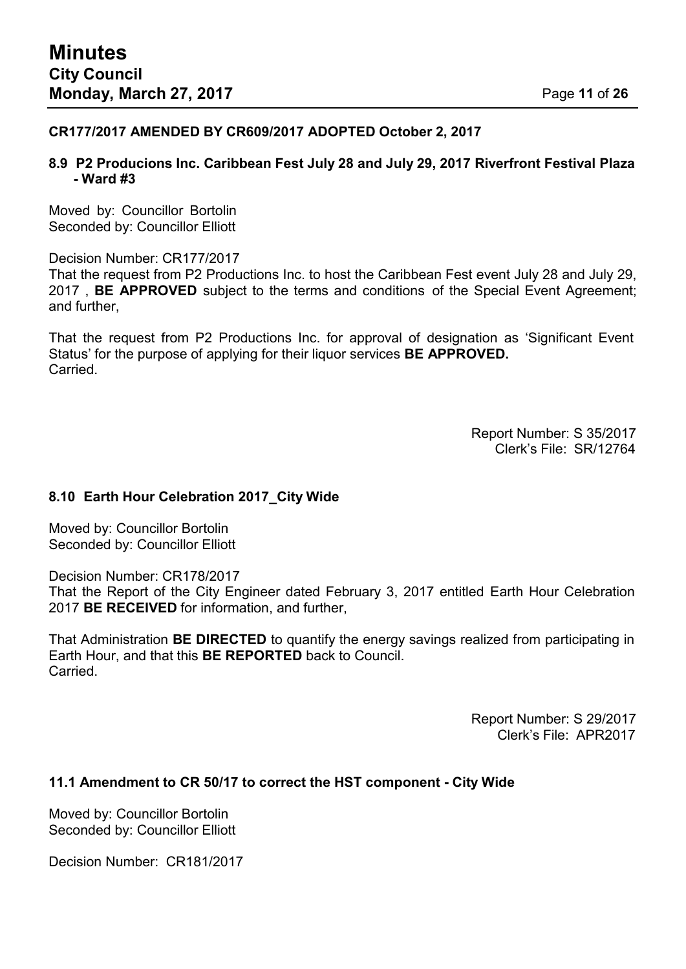#### **CR177/2017 AMENDED BY CR609/2017 ADOPTED October 2, 2017**

#### **8.9 P2 Producions Inc. Caribbean Fest July 28 and July 29, 2017 Riverfront Festival Plaza - Ward #3**

Moved by: Councillor Bortolin Seconded by: Councillor Elliott

Decision Number: CR177/2017

That the request from P2 Productions Inc. to host the Caribbean Fest event July 28 and July 29, 2017 , **BE APPROVED** subject to the terms and conditions of the Special Event Agreement; and further,

That the request from P2 Productions Inc. for approval of designation as 'Significant Event Status' for the purpose of applying for their liquor services **BE APPROVED.** Carried.

> Report Number: S 35/2017 Clerk's File: SR/12764

#### **8.10 Earth Hour Celebration 2017\_City Wide**

Moved by: Councillor Bortolin Seconded by: Councillor Elliott

Decision Number: CR178/2017

That the Report of the City Engineer dated February 3, 2017 entitled Earth Hour Celebration 2017 **BE RECEIVED** for information, and further,

That Administration **BE DIRECTED** to quantify the energy savings realized from participating in Earth Hour, and that this **BE REPORTED** back to Council. **Carried** 

> Report Number: S 29/2017 Clerk's File: APR2017

#### **11.1 Amendment to CR 50/17 to correct the HST component - City Wide**

Moved by: Councillor Bortolin Seconded by: Councillor Elliott

Decision Number: CR181/2017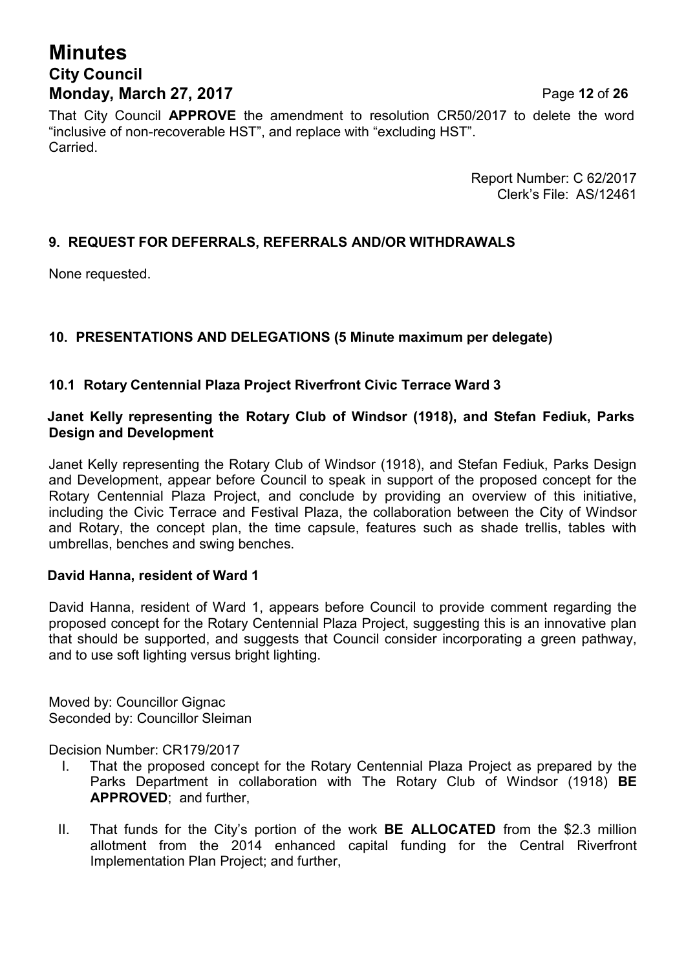# **Minutes City Council**

**Monday, March 27, 2017** Page **12** of **26** That City Council **APPROVE** the amendment to resolution CR50/2017 to delete the word "inclusive of non-recoverable HST", and replace with "excluding HST". Carried.

> Report Number: C 62/2017 Clerk's File: AS/12461

### **9. REQUEST FOR DEFERRALS, REFERRALS AND/OR WITHDRAWALS**

None requested.

### **10. PRESENTATIONS AND DELEGATIONS (5 Minute maximum per delegate)**

### **10.1 Rotary Centennial Plaza Project Riverfront Civic Terrace Ward 3**

#### **Janet Kelly representing the Rotary Club of Windsor (1918), and Stefan Fediuk, Parks Design and Development**

Janet Kelly representing the Rotary Club of Windsor (1918), and Stefan Fediuk, Parks Design and Development, appear before Council to speak in support of the proposed concept for the Rotary Centennial Plaza Project, and conclude by providing an overview of this initiative, including the Civic Terrace and Festival Plaza, the collaboration between the City of Windsor and Rotary, the concept plan, the time capsule, features such as shade trellis, tables with umbrellas, benches and swing benches.

#### **David Hanna, resident of Ward 1**

David Hanna, resident of Ward 1, appears before Council to provide comment regarding the proposed concept for the Rotary Centennial Plaza Project, suggesting this is an innovative plan that should be supported, and suggests that Council consider incorporating a green pathway, and to use soft lighting versus bright lighting.

Moved by: Councillor Gignac Seconded by: Councillor Sleiman

Decision Number: CR179/2017

- I. That the proposed concept for the Rotary Centennial Plaza Project as prepared by the Parks Department in collaboration with The Rotary Club of Windsor (1918) **BE APPROVED**; and further,
- II. That funds for the City's portion of the work **BE ALLOCATED** from the \$2.3 million allotment from the 2014 enhanced capital funding for the Central Riverfront Implementation Plan Project; and further,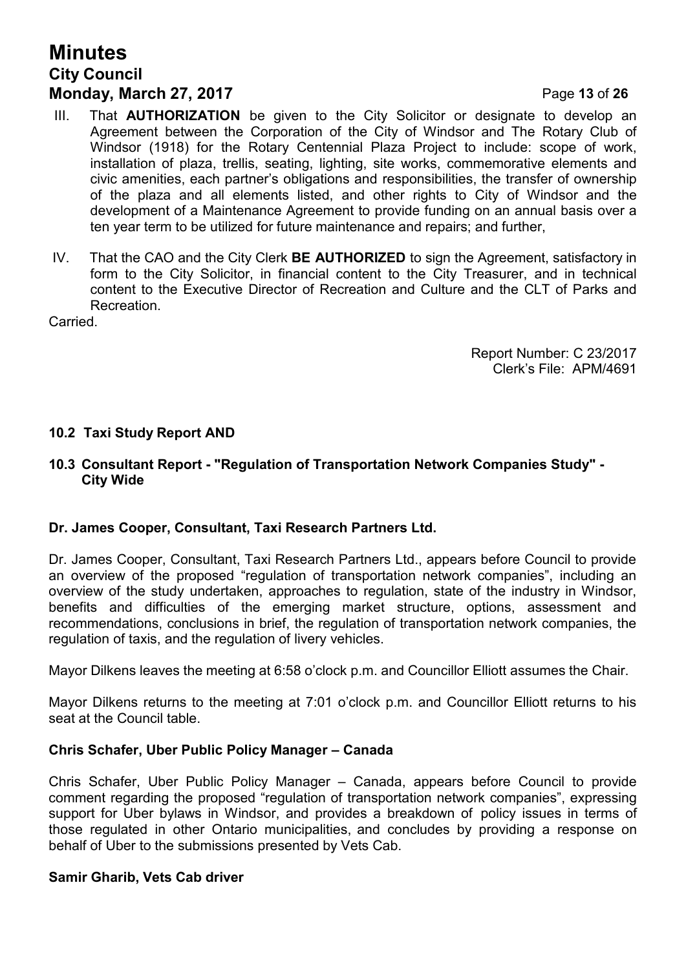# **Minutes City Council Monday, March 27, 2017** Page **13** of **26**

- III. That **AUTHORIZATION** be given to the City Solicitor or designate to develop an Agreement between the Corporation of the City of Windsor and The Rotary Club of Windsor (1918) for the Rotary Centennial Plaza Project to include: scope of work, installation of plaza, trellis, seating, lighting, site works, commemorative elements and civic amenities, each partner's obligations and responsibilities, the transfer of ownership of the plaza and all elements listed, and other rights to City of Windsor and the development of a Maintenance Agreement to provide funding on an annual basis over a ten year term to be utilized for future maintenance and repairs; and further,
- IV. That the CAO and the City Clerk **BE AUTHORIZED** to sign the Agreement, satisfactory in form to the City Solicitor, in financial content to the City Treasurer, and in technical content to the Executive Director of Recreation and Culture and the CLT of Parks and Recreation.

Carried.

Report Number: C 23/2017 Clerk's File: APM/4691

#### **10.2 Taxi Study Report AND**

#### **10.3 Consultant Report - "Regulation of Transportation Network Companies Study" - City Wide**

#### **Dr. James Cooper, Consultant, Taxi Research Partners Ltd.**

Dr. James Cooper, Consultant, Taxi Research Partners Ltd., appears before Council to provide an overview of the proposed "regulation of transportation network companies", including an overview of the study undertaken, approaches to regulation, state of the industry in Windsor, benefits and difficulties of the emerging market structure, options, assessment and recommendations, conclusions in brief, the regulation of transportation network companies, the regulation of taxis, and the regulation of livery vehicles.

Mayor Dilkens leaves the meeting at 6:58 o'clock p.m. and Councillor Elliott assumes the Chair.

Mayor Dilkens returns to the meeting at 7:01 o'clock p.m. and Councillor Elliott returns to his seat at the Council table.

#### **Chris Schafer, Uber Public Policy Manager – Canada**

Chris Schafer, Uber Public Policy Manager – Canada, appears before Council to provide comment regarding the proposed "regulation of transportation network companies", expressing support for Uber bylaws in Windsor, and provides a breakdown of policy issues in terms of those regulated in other Ontario municipalities, and concludes by providing a response on behalf of Uber to the submissions presented by Vets Cab.

#### **Samir Gharib, Vets Cab driver**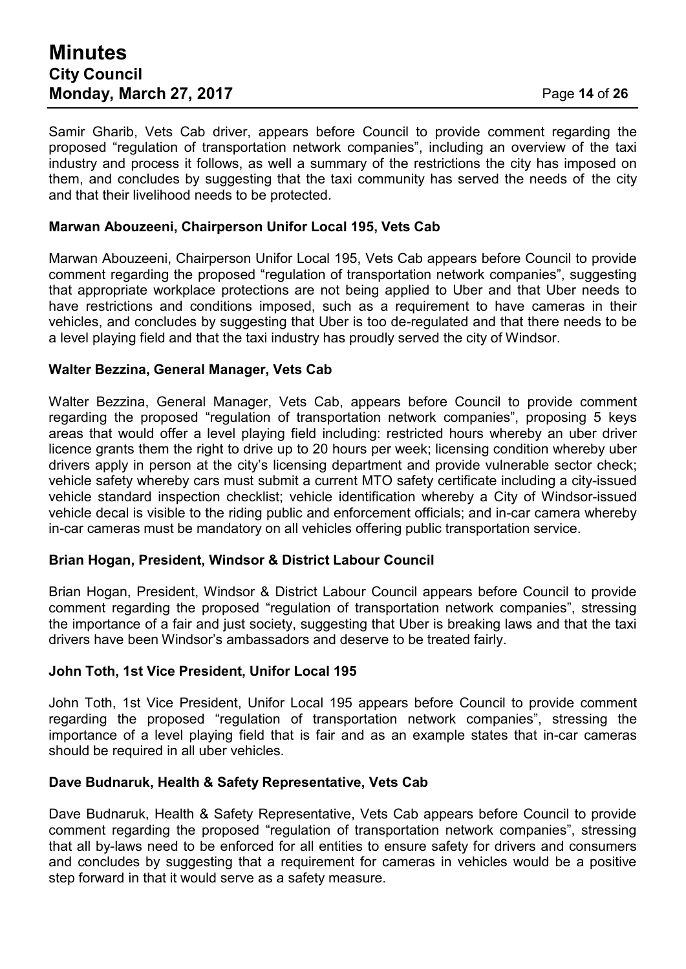## **Minutes City Council Monday, March 27, 2017** Page **14** of **26**

Samir Gharib, Vets Cab driver, appears before Council to provide comment regarding the proposed "regulation of transportation network companies", including an overview of the taxi industry and process it follows, as well a summary of the restrictions the city has imposed on them, and concludes by suggesting that the taxi community has served the needs of the city and that their livelihood needs to be protected.

### **Marwan Abouzeeni, Chairperson Unifor Local 195, Vets Cab**

Marwan Abouzeeni, Chairperson Unifor Local 195, Vets Cab appears before Council to provide comment regarding the proposed "regulation of transportation network companies", suggesting that appropriate workplace protections are not being applied to Uber and that Uber needs to have restrictions and conditions imposed, such as a requirement to have cameras in their vehicles, and concludes by suggesting that Uber is too de-regulated and that there needs to be a level playing field and that the taxi industry has proudly served the city of Windsor.

#### **Walter Bezzina, General Manager, Vets Cab**

Walter Bezzina, General Manager, Vets Cab, appears before Council to provide comment regarding the proposed "regulation of transportation network companies", proposing 5 keys areas that would offer a level playing field including: restricted hours whereby an uber driver licence grants them the right to drive up to 20 hours per week; licensing condition whereby uber drivers apply in person at the city's licensing department and provide vulnerable sector check; vehicle safety whereby cars must submit a current MTO safety certificate including a city-issued vehicle standard inspection checklist; vehicle identification whereby a City of Windsor-issued vehicle decal is visible to the riding public and enforcement officials; and in-car camera whereby in-car cameras must be mandatory on all vehicles offering public transportation service.

#### **Brian Hogan, President, Windsor & District Labour Council**

Brian Hogan, President, Windsor & District Labour Council appears before Council to provide comment regarding the proposed "regulation of transportation network companies", stressing the importance of a fair and just society, suggesting that Uber is breaking laws and that the taxi drivers have been Windsor's ambassadors and deserve to be treated fairly.

#### **John Toth, 1st Vice President, Unifor Local 195**

John Toth, 1st Vice President, Unifor Local 195 appears before Council to provide comment regarding the proposed "regulation of transportation network companies", stressing the importance of a level playing field that is fair and as an example states that in-car cameras should be required in all uber vehicles.

### **Dave Budnaruk, Health & Safety Representative, Vets Cab**

Dave Budnaruk, Health & Safety Representative, Vets Cab appears before Council to provide comment regarding the proposed "regulation of transportation network companies", stressing that all by-laws need to be enforced for all entities to ensure safety for drivers and consumers and concludes by suggesting that a requirement for cameras in vehicles would be a positive step forward in that it would serve as a safety measure.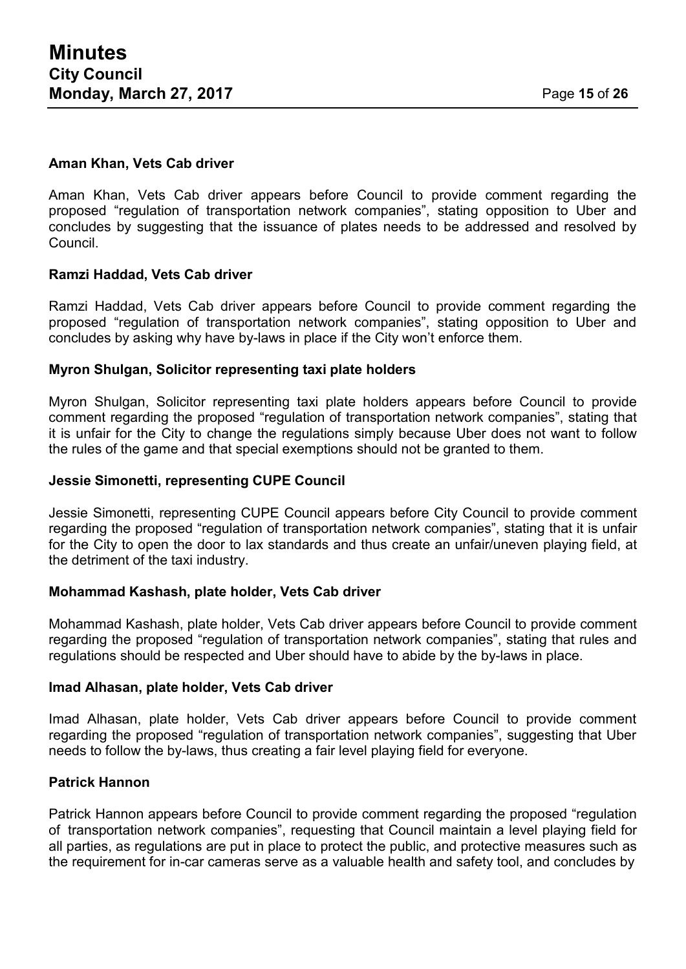#### **Aman Khan, Vets Cab driver**

Aman Khan, Vets Cab driver appears before Council to provide comment regarding the proposed "regulation of transportation network companies", stating opposition to Uber and concludes by suggesting that the issuance of plates needs to be addressed and resolved by Council.

#### **Ramzi Haddad, Vets Cab driver**

Ramzi Haddad, Vets Cab driver appears before Council to provide comment regarding the proposed "regulation of transportation network companies", stating opposition to Uber and concludes by asking why have by-laws in place if the City won't enforce them.

#### **Myron Shulgan, Solicitor representing taxi plate holders**

Myron Shulgan, Solicitor representing taxi plate holders appears before Council to provide comment regarding the proposed "regulation of transportation network companies", stating that it is unfair for the City to change the regulations simply because Uber does not want to follow the rules of the game and that special exemptions should not be granted to them.

#### **Jessie Simonetti, representing CUPE Council**

Jessie Simonetti, representing CUPE Council appears before City Council to provide comment regarding the proposed "regulation of transportation network companies", stating that it is unfair for the City to open the door to lax standards and thus create an unfair/uneven playing field, at the detriment of the taxi industry.

#### **Mohammad Kashash, plate holder, Vets Cab driver**

Mohammad Kashash, plate holder, Vets Cab driver appears before Council to provide comment regarding the proposed "regulation of transportation network companies", stating that rules and regulations should be respected and Uber should have to abide by the by-laws in place.

#### **Imad Alhasan, plate holder, Vets Cab driver**

Imad Alhasan, plate holder, Vets Cab driver appears before Council to provide comment regarding the proposed "regulation of transportation network companies", suggesting that Uber needs to follow the by-laws, thus creating a fair level playing field for everyone.

#### **Patrick Hannon**

Patrick Hannon appears before Council to provide comment regarding the proposed "regulation of transportation network companies", requesting that Council maintain a level playing field for all parties, as regulations are put in place to protect the public, and protective measures such as the requirement for in-car cameras serve as a valuable health and safety tool, and concludes by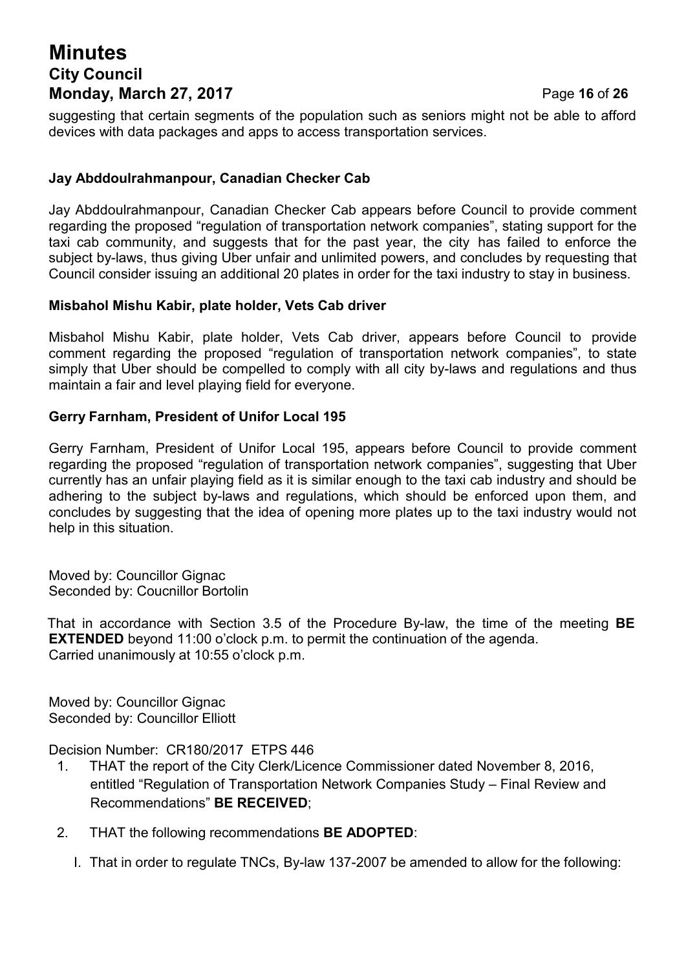# **Minutes City Council Monday, March 27, 2017** Page **16** of **26**

suggesting that certain segments of the population such as seniors might not be able to afford devices with data packages and apps to access transportation services.

### **Jay Abddoulrahmanpour, Canadian Checker Cab**

Jay Abddoulrahmanpour, Canadian Checker Cab appears before Council to provide comment regarding the proposed "regulation of transportation network companies", stating support for the taxi cab community, and suggests that for the past year, the city has failed to enforce the subject by-laws, thus giving Uber unfair and unlimited powers, and concludes by requesting that Council consider issuing an additional 20 plates in order for the taxi industry to stay in business.

#### **Misbahol Mishu Kabir, plate holder, Vets Cab driver**

Misbahol Mishu Kabir, plate holder, Vets Cab driver, appears before Council to provide comment regarding the proposed "regulation of transportation network companies", to state simply that Uber should be compelled to comply with all city by-laws and regulations and thus maintain a fair and level playing field for everyone.

#### **Gerry Farnham, President of Unifor Local 195**

Gerry Farnham, President of Unifor Local 195, appears before Council to provide comment regarding the proposed "regulation of transportation network companies", suggesting that Uber currently has an unfair playing field as it is similar enough to the taxi cab industry and should be adhering to the subject by-laws and regulations, which should be enforced upon them, and concludes by suggesting that the idea of opening more plates up to the taxi industry would not help in this situation.

Moved by: Councillor Gignac Seconded by: Coucnillor Bortolin

That in accordance with Section 3.5 of the Procedure By-law, the time of the meeting **BE EXTENDED** beyond 11:00 o'clock p.m. to permit the continuation of the agenda. Carried unanimously at 10:55 o'clock p.m.

Moved by: Councillor Gignac Seconded by: Councillor Elliott

Decision Number: CR180/2017 ETPS 446

- 1. THAT the report of the City Clerk/Licence Commissioner dated November 8, 2016, entitled "Regulation of Transportation Network Companies Study – Final Review and Recommendations" **BE RECEIVED**;
- 2. THAT the following recommendations **BE ADOPTED**:
	- I. That in order to regulate TNCs, By-law 137-2007 be amended to allow for the following: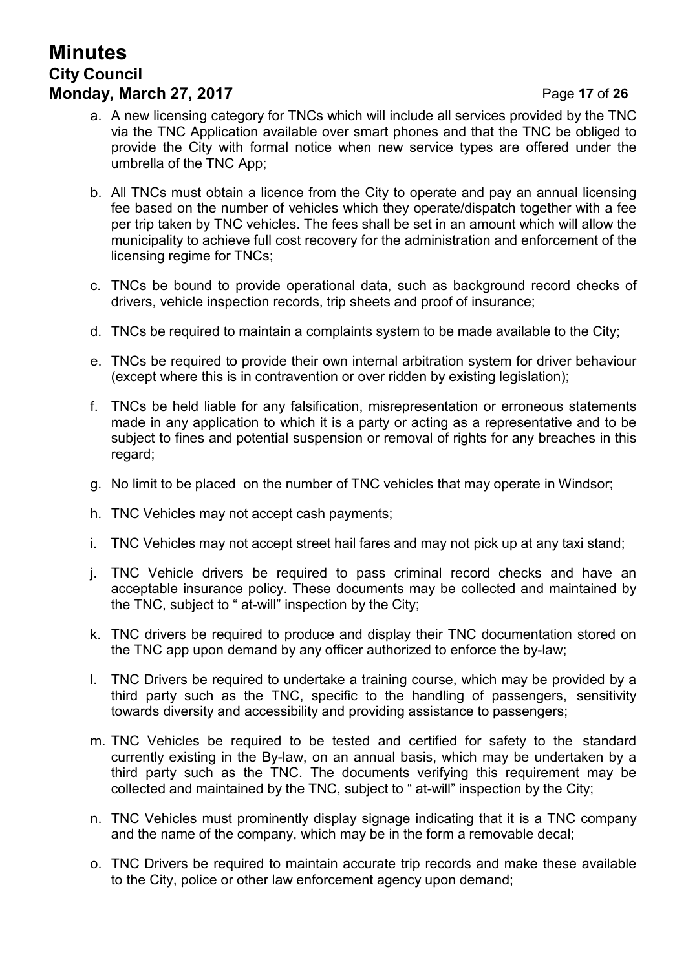# **Minutes City Council Monday, March 27, 2017 Page 17 of 26**

- a. A new licensing category for TNCs which will include all services provided by the TNC via the TNC Application available over smart phones and that the TNC be obliged to provide the City with formal notice when new service types are offered under the umbrella of the TNC App;
- b. All TNCs must obtain a licence from the City to operate and pay an annual licensing fee based on the number of vehicles which they operate/dispatch together with a fee per trip taken by TNC vehicles. The fees shall be set in an amount which will allow the municipality to achieve full cost recovery for the administration and enforcement of the licensing regime for TNCs;
- c. TNCs be bound to provide operational data, such as background record checks of drivers, vehicle inspection records, trip sheets and proof of insurance;
- d. TNCs be required to maintain a complaints system to be made available to the City;
- e. TNCs be required to provide their own internal arbitration system for driver behaviour (except where this is in contravention or over ridden by existing legislation);
- f. TNCs be held liable for any falsification, misrepresentation or erroneous statements made in any application to which it is a party or acting as a representative and to be subject to fines and potential suspension or removal of rights for any breaches in this regard;
- g. No limit to be placed on the number of TNC vehicles that may operate in Windsor;
- h. TNC Vehicles may not accept cash payments;
- i. TNC Vehicles may not accept street hail fares and may not pick up at any taxi stand;
- j. TNC Vehicle drivers be required to pass criminal record checks and have an acceptable insurance policy. These documents may be collected and maintained by the TNC, subject to " at-will" inspection by the City;
- k. TNC drivers be required to produce and display their TNC documentation stored on the TNC app upon demand by any officer authorized to enforce the by-law;
- l. TNC Drivers be required to undertake a training course, which may be provided by a third party such as the TNC, specific to the handling of passengers, sensitivity towards diversity and accessibility and providing assistance to passengers;
- m. TNC Vehicles be required to be tested and certified for safety to the standard currently existing in the By-law, on an annual basis, which may be undertaken by a third party such as the TNC. The documents verifying this requirement may be collected and maintained by the TNC, subject to " at-will" inspection by the City;
- n. TNC Vehicles must prominently display signage indicating that it is a TNC company and the name of the company, which may be in the form a removable decal;
- o. TNC Drivers be required to maintain accurate trip records and make these available to the City, police or other law enforcement agency upon demand;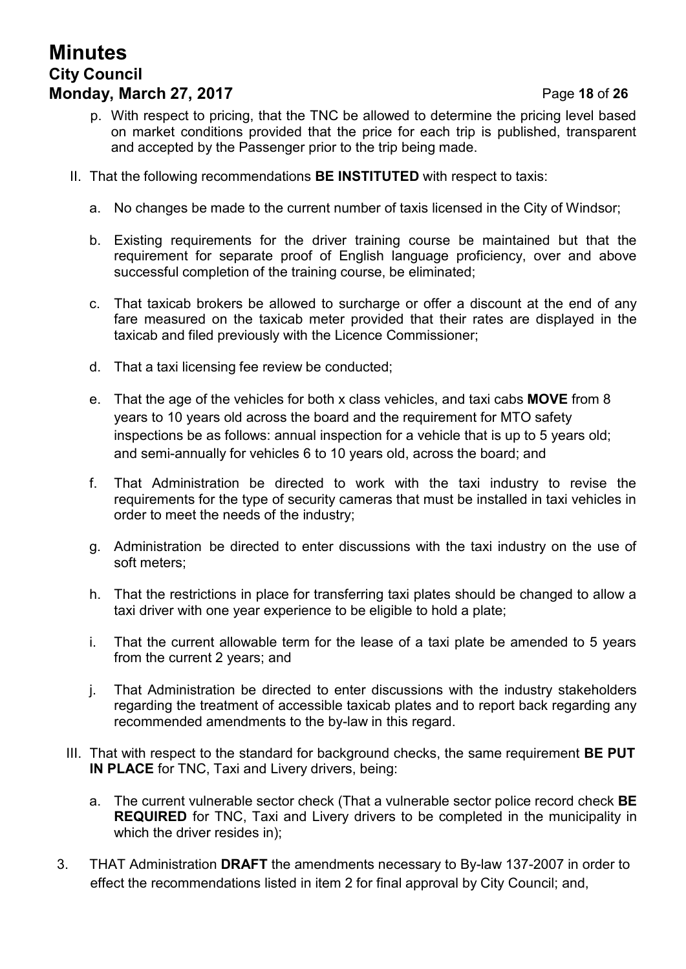# **Minutes City Council Monday, March 27, 2017** Page **18** of **26**

- p. With respect to pricing, that the TNC be allowed to determine the pricing level based on market conditions provided that the price for each trip is published, transparent and accepted by the Passenger prior to the trip being made.
- II. That the following recommendations **BE INSTITUTED** with respect to taxis:
	- a. No changes be made to the current number of taxis licensed in the City of Windsor;
	- b. Existing requirements for the driver training course be maintained but that the requirement for separate proof of English language proficiency, over and above successful completion of the training course, be eliminated;
	- c. That taxicab brokers be allowed to surcharge or offer a discount at the end of any fare measured on the taxicab meter provided that their rates are displayed in the taxicab and filed previously with the Licence Commissioner;
	- d. That a taxi licensing fee review be conducted;
	- e. That the age of the vehicles for both x class vehicles, and taxi cabs **MOVE** from 8 years to 10 years old across the board and the requirement for MTO safety inspections be as follows: annual inspection for a vehicle that is up to 5 years old; and semi-annually for vehicles 6 to 10 years old, across the board; and
	- f. That Administration be directed to work with the taxi industry to revise the requirements for the type of security cameras that must be installed in taxi vehicles in order to meet the needs of the industry;
	- g. Administration be directed to enter discussions with the taxi industry on the use of soft meters;
	- h. That the restrictions in place for transferring taxi plates should be changed to allow a taxi driver with one year experience to be eligible to hold a plate;
	- i. That the current allowable term for the lease of a taxi plate be amended to 5 years from the current 2 years; and
	- j. That Administration be directed to enter discussions with the industry stakeholders regarding the treatment of accessible taxicab plates and to report back regarding any recommended amendments to the by-law in this regard.
- III. That with respect to the standard for background checks, the same requirement **BE PUT IN PLACE** for TNC, Taxi and Livery drivers, being:
	- a. The current vulnerable sector check (That a vulnerable sector police record check **BE REQUIRED** for TNC, Taxi and Livery drivers to be completed in the municipality in which the driver resides in);
- 3. THAT Administration **DRAFT** the amendments necessary to By-law 137-2007 in order to effect the recommendations listed in item 2 for final approval by City Council; and,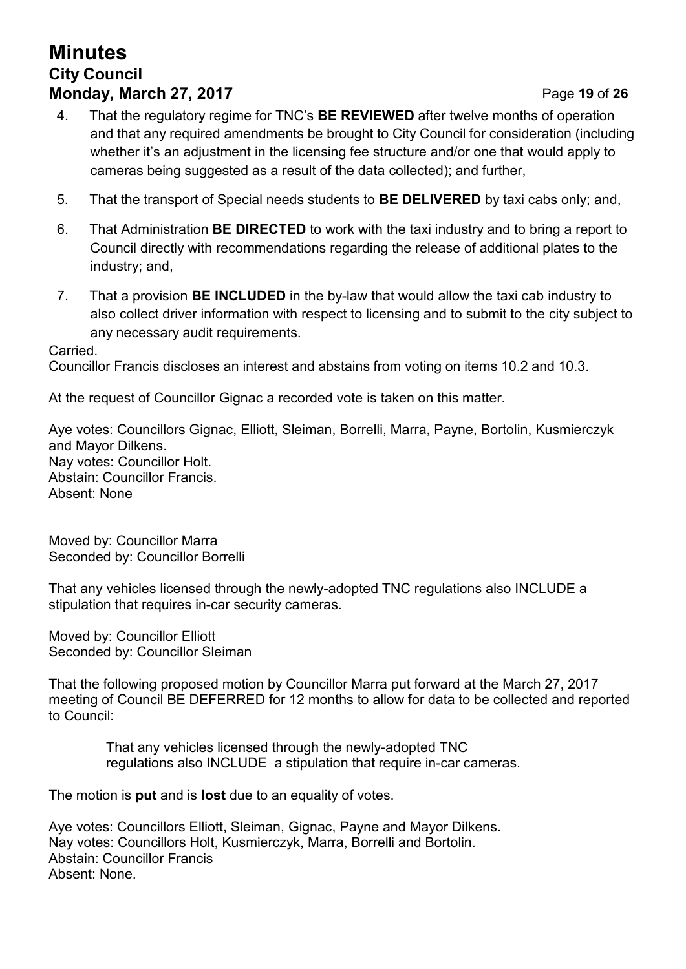# **Minutes City Council Monday, March 27, 2017** Page **19** of **26**

- 4. That the regulatory regime for TNC's **BE REVIEWED** after twelve months of operation and that any required amendments be brought to City Council for consideration (including whether it's an adjustment in the licensing fee structure and/or one that would apply to cameras being suggested as a result of the data collected); and further,
- 5. That the transport of Special needs students to **BE DELIVERED** by taxi cabs only; and,
- 6. That Administration **BE DIRECTED** to work with the taxi industry and to bring a report to Council directly with recommendations regarding the release of additional plates to the industry; and,
- 7. That a provision **BE INCLUDED** in the by-law that would allow the taxi cab industry to also collect driver information with respect to licensing and to submit to the city subject to any necessary audit requirements.

#### Carried.

Councillor Francis discloses an interest and abstains from voting on items 10.2 and 10.3.

At the request of Councillor Gignac a recorded vote is taken on this matter.

Aye votes: Councillors Gignac, Elliott, Sleiman, Borrelli, Marra, Payne, Bortolin, Kusmierczyk and Mayor Dilkens. Nay votes: Councillor Holt. Abstain: Councillor Francis. Absent: None

Moved by: Councillor Marra Seconded by: Councillor Borrelli

That any vehicles licensed through the newly-adopted TNC regulations also INCLUDE a stipulation that requires in-car security cameras.

Moved by: Councillor Elliott Seconded by: Councillor Sleiman

That the following proposed motion by Councillor Marra put forward at the March 27, 2017 meeting of Council BE DEFERRED for 12 months to allow for data to be collected and reported to Council:

That any vehicles licensed through the newly-adopted TNC regulations also INCLUDE a stipulation that require in-car cameras.

The motion is **put** and is **lost** due to an equality of votes.

Aye votes: Councillors Elliott, Sleiman, Gignac, Payne and Mayor Dilkens. Nay votes: Councillors Holt, Kusmierczyk, Marra, Borrelli and Bortolin. Abstain: Councillor Francis Absent: None.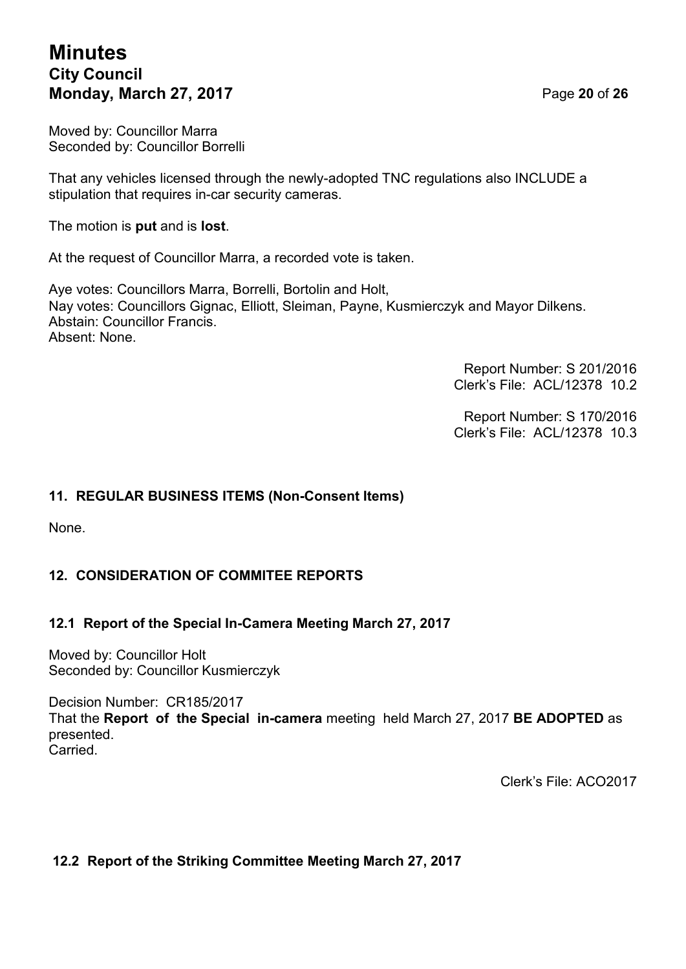# **Minutes City Council Monday, March 27, 2017** Page **20** of **26**

Moved by: Councillor Marra Seconded by: Councillor Borrelli

That any vehicles licensed through the newly-adopted TNC regulations also INCLUDE a stipulation that requires in-car security cameras.

The motion is **put** and is **lost**.

At the request of Councillor Marra, a recorded vote is taken.

Aye votes: Councillors Marra, Borrelli, Bortolin and Holt, Nay votes: Councillors Gignac, Elliott, Sleiman, Payne, Kusmierczyk and Mayor Dilkens. Abstain: Councillor Francis. Absent: None.

> Report Number: S 201/2016 Clerk's File: ACL/12378 10.2

> Report Number: S 170/2016 Clerk's File: ACL/12378 10.3

### **11. REGULAR BUSINESS ITEMS (Non-Consent Items)**

None.

### **12. CONSIDERATION OF COMMITEE REPORTS**

### **12.1 Report of the Special In-Camera Meeting March 27, 2017**

Moved by: Councillor Holt Seconded by: Councillor Kusmierczyk

Decision Number: CR185/2017 That the **Report of the Special in-camera** meeting held March 27, 2017 **BE ADOPTED** as presented. Carried.

Clerk's File: ACO2017

### **12.2 Report of the Striking Committee Meeting March 27, 2017**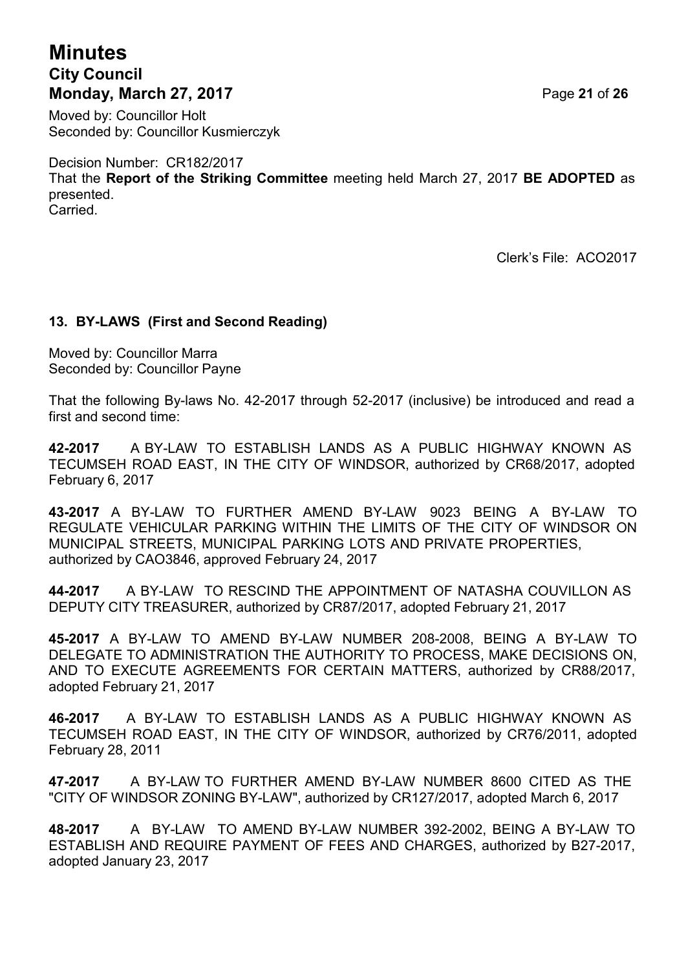# **Minutes City Council Monday, March 27, 2017** Page **21** of **26**

Moved by: Councillor Holt Seconded by: Councillor Kusmierczyk

Decision Number: CR182/2017 That the **Report of the Striking Committee** meeting held March 27, 2017 **BE ADOPTED** as presented. Carried.

Clerk's File: ACO2017

### **13. BY-LAWS (First and Second Reading)**

Moved by: Councillor Marra Seconded by: Councillor Payne

That the following By-laws No. 42-2017 through 52-2017 (inclusive) be introduced and read a first and second time:

**42-2017** A BY-LAW TO ESTABLISH LANDS AS A PUBLIC HIGHWAY KNOWN AS TECUMSEH ROAD EAST, IN THE CITY OF WINDSOR, authorized by CR68/2017, adopted February 6, 2017

**43-2017** A BY-LAW TO FURTHER AMEND BY-LAW 9023 BEING A BY-LAW TO REGULATE VEHICULAR PARKING WITHIN THE LIMITS OF THE CITY OF WINDSOR ON MUNICIPAL STREETS, MUNICIPAL PARKING LOTS AND PRIVATE PROPERTIES, authorized by CAO3846, approved February 24, 2017

**44-2017** A BY-LAW TO RESCIND THE APPOINTMENT OF NATASHA COUVILLON AS DEPUTY CITY TREASURER, authorized by CR87/2017, adopted February 21, 2017

**45-2017** A BY-LAW TO AMEND BY-LAW NUMBER 208-2008, BEING A BY-LAW TO DELEGATE TO ADMINISTRATION THE AUTHORITY TO PROCESS, MAKE DECISIONS ON, AND TO EXECUTE AGREEMENTS FOR CERTAIN MATTERS, authorized by CR88/2017, adopted February 21, 2017

**46-2017** A BY-LAW TO ESTABLISH LANDS AS A PUBLIC HIGHWAY KNOWN AS TECUMSEH ROAD EAST, IN THE CITY OF WINDSOR, authorized by CR76/2011, adopted February 28, 2011

**47-2017** A BY-LAW TO FURTHER AMEND BY-LAW NUMBER 8600 CITED AS THE "CITY OF WINDSOR ZONING BY-LAW", authorized by CR127/2017, adopted March 6, 2017

**48-2017** A BY-LAW TO AMEND BY-LAW NUMBER 392-2002, BEING A BY-LAW TO ESTABLISH AND REQUIRE PAYMENT OF FEES AND CHARGES, authorized by B27-2017, adopted January 23, 2017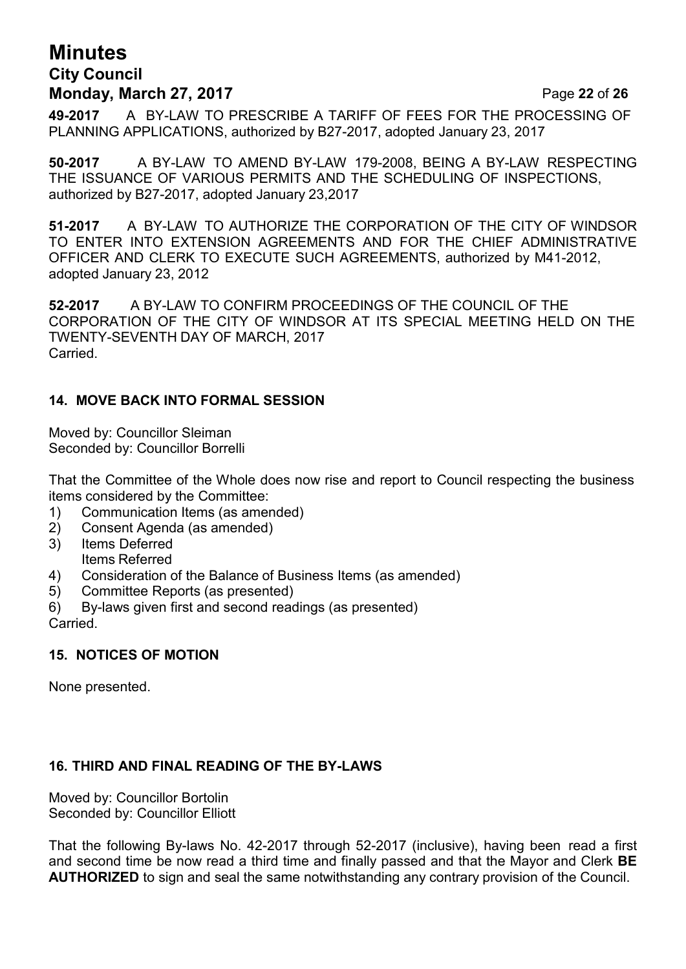# **Minutes City Council Monday, March 27, 2017** Page **22** of **26**

**49-2017** A BY-LAW TO PRESCRIBE A TARIFF OF FEES FOR THE PROCESSING OF PLANNING APPLICATIONS, authorized by B27-2017, adopted January 23, 2017

**50-2017** A BY-LAW TO AMEND BY-LAW 179-2008, BEING A BY-LAW RESPECTING THE ISSUANCE OF VARIOUS PERMITS AND THE SCHEDULING OF INSPECTIONS, authorized by B27-2017, adopted January 23,2017

**51-2017** A BY-LAW TO AUTHORIZE THE CORPORATION OF THE CITY OF WINDSOR TO ENTER INTO EXTENSION AGREEMENTS AND FOR THE CHIEF ADMINISTRATIVE OFFICER AND CLERK TO EXECUTE SUCH AGREEMENTS, authorized by M41-2012, adopted January 23, 2012

**52-2017** A BY-LAW TO CONFIRM PROCEEDINGS OF THE COUNCIL OF THE CORPORATION OF THE CITY OF WINDSOR AT ITS SPECIAL MEETING HELD ON THE TWENTY-SEVENTH DAY OF MARCH, 2017 **Carried** 

### **14. MOVE BACK INTO FORMAL SESSION**

Moved by: Councillor Sleiman Seconded by: Councillor Borrelli

That the Committee of the Whole does now rise and report to Council respecting the business items considered by the Committee:

- 1) Communication Items (as amended)
- 2) Consent Agenda (as amended)
- 3) Items Deferred Items Referred
- 4) Consideration of the Balance of Business Items (as amended)
- 5) Committee Reports (as presented)
- 6) By-laws given first and second readings (as presented)

Carried.

### **15. NOTICES OF MOTION**

None presented.

### **16. THIRD AND FINAL READING OF THE BY-LAWS**

Moved by: Councillor Bortolin Seconded by: Councillor Elliott

That the following By-laws No. 42-2017 through 52-2017 (inclusive), having been read a first and second time be now read a third time and finally passed and that the Mayor and Clerk **BE AUTHORIZED** to sign and seal the same notwithstanding any contrary provision of the Council.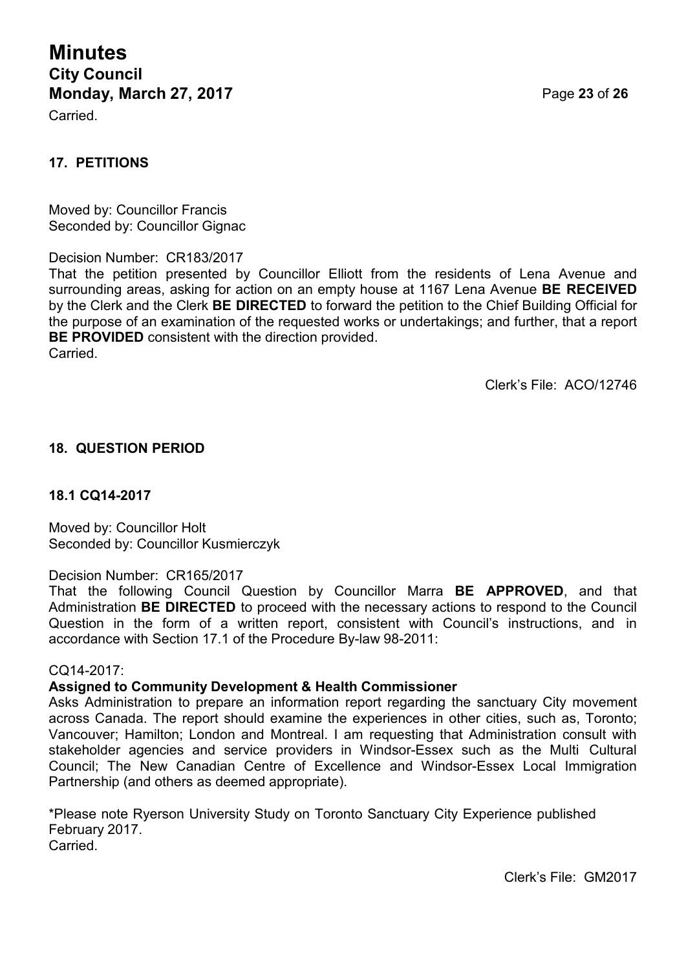**Minutes City Council Monday, March 27, 2017** Page **23** of **26**

Carried.

### **17. PETITIONS**

Moved by: Councillor Francis Seconded by: Councillor Gignac

Decision Number: CR183/2017

That the petition presented by Councillor Elliott from the residents of Lena Avenue and surrounding areas, asking for action on an empty house at 1167 Lena Avenue **BE RECEIVED** by the Clerk and the Clerk **BE DIRECTED** to forward the petition to the Chief Building Official for the purpose of an examination of the requested works or undertakings; and further, that a report **BE PROVIDED** consistent with the direction provided. Carried.

Clerk's File: ACO/12746

#### **18. QUESTION PERIOD**

#### **18.1 CQ14-2017**

Moved by: Councillor Holt Seconded by: Councillor Kusmierczyk

#### Decision Number: CR165/2017

That the following Council Question by Councillor Marra **BE APPROVED**, and that Administration **BE DIRECTED** to proceed with the necessary actions to respond to the Council Question in the form of a written report, consistent with Council's instructions, and in accordance with Section 17.1 of the Procedure By-law 98-2011:

#### CQ14-2017:

#### **Assigned to Community Development & Health Commissioner**

Asks Administration to prepare an information report regarding the sanctuary City movement across Canada. The report should examine the experiences in other cities, such as, Toronto; Vancouver; Hamilton; London and Montreal. I am requesting that Administration consult with stakeholder agencies and service providers in Windsor-Essex such as the Multi Cultural Council; The New Canadian Centre of Excellence and Windsor-Essex Local Immigration Partnership (and others as deemed appropriate).

\*Please note Ryerson University Study on Toronto Sanctuary City Experience published February 2017. Carried.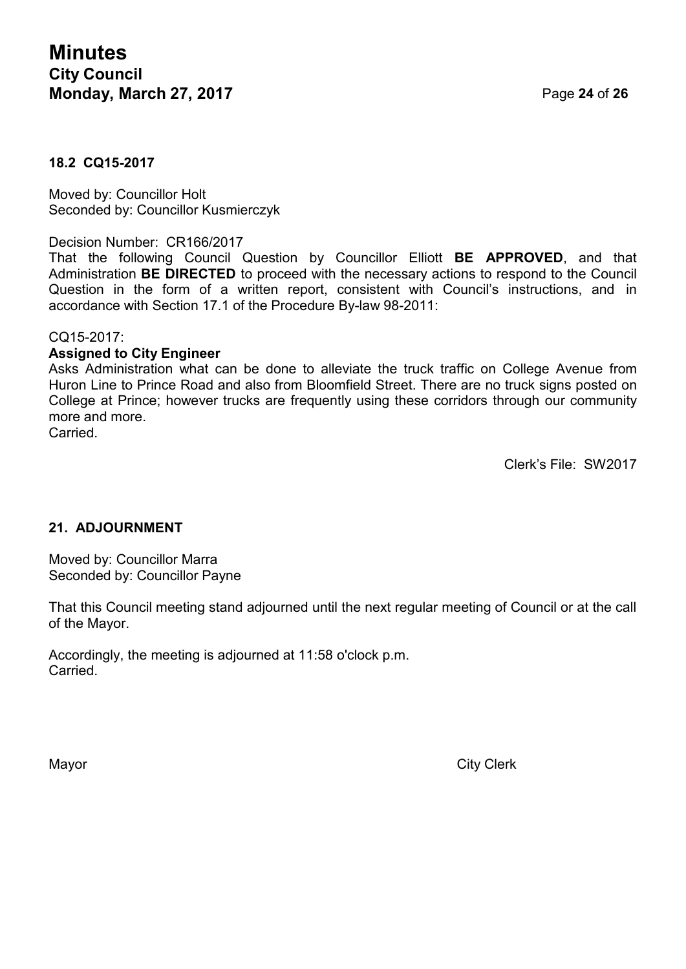### **18.2 CQ15-2017**

Moved by: Councillor Holt Seconded by: Councillor Kusmierczyk

#### Decision Number: CR166/2017

That the following Council Question by Councillor Elliott **BE APPROVED**, and that Administration **BE DIRECTED** to proceed with the necessary actions to respond to the Council Question in the form of a written report, consistent with Council's instructions, and in accordance with Section 17.1 of the Procedure By-law 98-2011:

#### CQ15-2017:

#### **Assigned to City Engineer**

Asks Administration what can be done to alleviate the truck traffic on College Avenue from Huron Line to Prince Road and also from Bloomfield Street. There are no truck signs posted on College at Prince; however trucks are frequently using these corridors through our community more and more. Carried.

Clerk's File: SW2017

#### **21. ADJOURNMENT**

Moved by: Councillor Marra Seconded by: Councillor Payne

That this Council meeting stand adjourned until the next regular meeting of Council or at the call of the Mayor.

Accordingly, the meeting is adjourned at 11:58 o'clock p.m. Carried.

Mayor City Clerk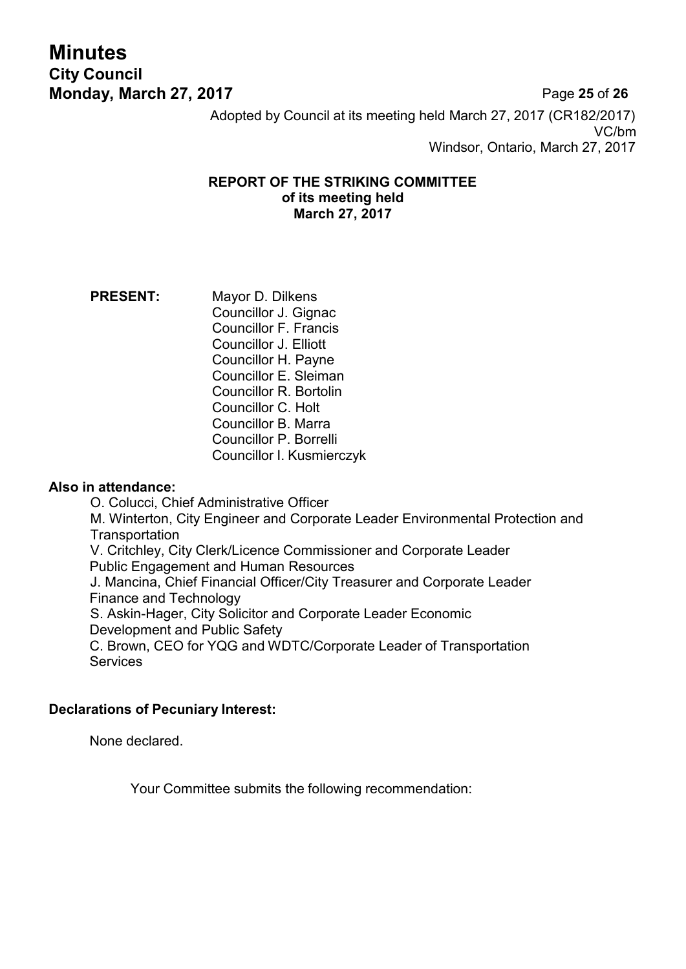# **Minutes City Council**

**Monday, March 27, 2017** Page **25** of **26** Adopted by Council at its meeting held March 27, 2017 (CR182/2017) VC/bm Windsor, Ontario, March 27, 2017

#### **REPORT OF THE STRIKING COMMITTEE of its meeting held March 27, 2017**

#### **PRESENT:** Mayor D. Dilkens Councillor J. Gignac Councillor F. Francis Councillor J. Elliott Councillor H. Payne Councillor E. Sleiman Councillor R. Bortolin Councillor C. Holt Councillor B. Marra Councillor P. Borrelli Councillor I. Kusmierczyk

#### **Also in attendance:**

O. Colucci, Chief Administrative Officer M. Winterton, City Engineer and Corporate Leader Environmental Protection and **Transportation** V. Critchley, City Clerk/Licence Commissioner and Corporate Leader Public Engagement and Human Resources J. Mancina, Chief Financial Officer/City Treasurer and Corporate Leader Finance and Technology S. Askin-Hager, City Solicitor and Corporate Leader Economic Development and Public Safety C. Brown, CEO for YQG and WDTC/Corporate Leader of Transportation **Services** 

#### **Declarations of Pecuniary Interest:**

None declared.

Your Committee submits the following recommendation: